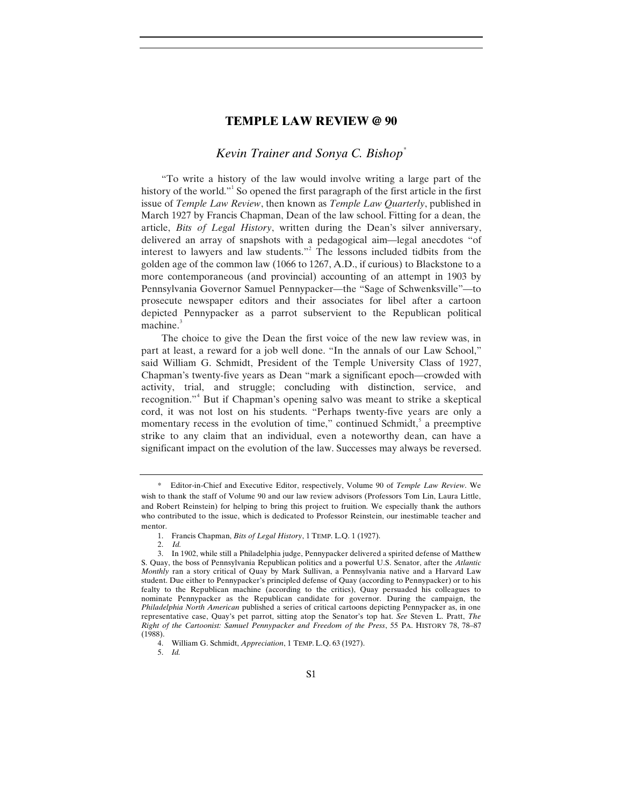## **TEMPLE LAW REVIEW @ 90**

## *Kevin Trainer and Sonya C. Bishop*[\\*](#page-0-0)

"To write a history of the law would involve writing a large part of the history of the world."<sup>[1](#page-0-1)</sup> So opened the first paragraph of the first article in the first issue of *Temple Law Review*, then known as *Temple Law Quarterly*, published in March 1927 by Francis Chapman, Dean of the law school. Fitting for a dean, the article, *Bits of Legal History*, written during the Dean's silver anniversary, delivered an array of snapshots with a pedagogical aim—legal anecdotes "of interest to lawyers and law students."[2](#page-0-2) The lessons included tidbits from the golden age of the common law (1066 to 1267, A.D., if curious) to Blackstone to a more contemporaneous (and provincial) accounting of an attempt in 1903 by Pennsylvania Governor Samuel Pennypacker—the "Sage of Schwenksville"—to prosecute newspaper editors and their associates for libel after a cartoon depicted Pennypacker as a parrot subservient to the Republican political machine. $3$ 

The choice to give the Dean the first voice of the new law review was, in part at least, a reward for a job well done. "In the annals of our Law School," said William G. Schmidt, President of the Temple University Class of 1927, Chapman's twenty-five years as Dean "mark a significant epoch—crowded with activity, trial, and struggle; concluding with distinction, service, and recognition."<sup>[4](#page-0-4)</sup> But if Chapman's opening salvo was meant to strike a skeptical cord, it was not lost on his students. "Perhaps twenty-five years are only a momentary recess in the evolution of time," continued Schmidt, $\delta$  a preemptive strike to any claim that an individual, even a noteworthy dean, can have a significant impact on the evolution of the law. Successes may always be reversed.

5. *Id.*

<span id="page-0-0"></span><sup>\*</sup> Editor-in-Chief and Executive Editor, respectively, Volume 90 of *Temple Law Review*. We wish to thank the staff of Volume 90 and our law review advisors (Professors Tom Lin, Laura Little, and Robert Reinstein) for helping to bring this project to fruition. We especially thank the authors who contributed to the issue, which is dedicated to Professor Reinstein, our inestimable teacher and mentor.

<sup>1.</sup> Francis Chapman, *Bits of Legal History*, 1 TEMP. L.Q. 1 (1927).

<sup>2.</sup> *Id.*

<span id="page-0-3"></span><span id="page-0-2"></span><span id="page-0-1"></span><sup>3.</sup> In 1902, while still a Philadelphia judge, Pennypacker delivered a spirited defense of Matthew S. Quay, the boss of Pennsylvania Republican politics and a powerful U.S. Senator, after the *Atlantic Monthly* ran a story critical of Quay by Mark Sullivan, a Pennsylvania native and a Harvard Law student. Due either to Pennypacker's principled defense of Quay (according to Pennypacker) or to his fealty to the Republican machine (according to the critics), Quay persuaded his colleagues to nominate Pennypacker as the Republican candidate for governor. During the campaign, the *Philadelphia North American* published a series of critical cartoons depicting Pennypacker as, in one representative case, Quay's pet parrot, sitting atop the Senator's top hat. *See* Steven L. Pratt, *The Right of the Cartoonist: Samuel Pennypacker and Freedom of the Press*, 55 PA. HISTORY 78, 78–87 (1988).

<span id="page-0-5"></span><span id="page-0-4"></span><sup>4.</sup> William G. Schmidt, *Appreciation*, 1 TEMP. L.Q. 63 (1927).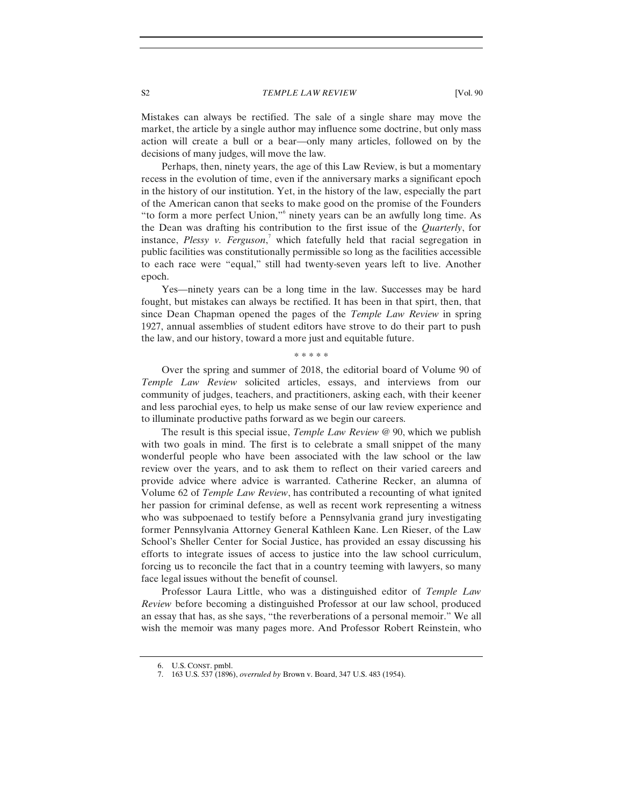S2 *TEMPLE LAW REVIEW* [Vol. 90]

Mistakes can always be rectified. The sale of a single share may move the market, the article by a single author may influence some doctrine, but only mass action will create a bull or a bear—only many articles, followed on by the decisions of many judges, will move the law.

Perhaps, then, ninety years, the age of this Law Review, is but a momentary recess in the evolution of time, even if the anniversary marks a significant epoch in the history of our institution. Yet, in the history of the law, especially the part of the American canon that seeks to make good on the promise of the Founders "to form a more perfect Union,"[6](#page-1-0) ninety years can be an awfully long time. As the Dean was drafting his contribution to the first issue of the *Quarterly*, for instance, *Plessy v. Ferguson*, [7](#page-1-1) which fatefully held that racial segregation in public facilities was constitutionally permissible so long as the facilities accessible to each race were "equal," still had twenty-seven years left to live. Another epoch.

Yes—ninety years can be a long time in the law. Successes may be hard fought, but mistakes can always be rectified. It has been in that spirt, then, that since Dean Chapman opened the pages of the *Temple Law Review* in spring 1927, annual assemblies of student editors have strove to do their part to push the law, and our history, toward a more just and equitable future.

\* \* \* \* \*

Over the spring and summer of 2018, the editorial board of Volume 90 of *Temple Law Review* solicited articles, essays, and interviews from our community of judges, teachers, and practitioners, asking each, with their keener and less parochial eyes, to help us make sense of our law review experience and to illuminate productive paths forward as we begin our careers.

The result is this special issue, *Temple Law Review* @ 90, which we publish with two goals in mind. The first is to celebrate a small snippet of the many wonderful people who have been associated with the law school or the law review over the years, and to ask them to reflect on their varied careers and provide advice where advice is warranted. Catherine Recker, an alumna of Volume 62 of *Temple Law Review*, has contributed a recounting of what ignited her passion for criminal defense, as well as recent work representing a witness who was subpoenaed to testify before a Pennsylvania grand jury investigating former Pennsylvania Attorney General Kathleen Kane. Len Rieser, of the Law School's Sheller Center for Social Justice, has provided an essay discussing his efforts to integrate issues of access to justice into the law school curriculum, forcing us to reconcile the fact that in a country teeming with lawyers, so many face legal issues without the benefit of counsel.

Professor Laura Little, who was a distinguished editor of *Temple Law Review* before becoming a distinguished Professor at our law school, produced an essay that has, as she says, "the reverberations of a personal memoir." We all wish the memoir was many pages more. And Professor Robert Reinstein, who

<span id="page-1-0"></span><sup>6.</sup> U.S. CONST. pmbl.

<span id="page-1-1"></span><sup>7.</sup> 163 U.S. 537 (1896), *overruled by* Brown v. Board, 347 U.S. 483 (1954).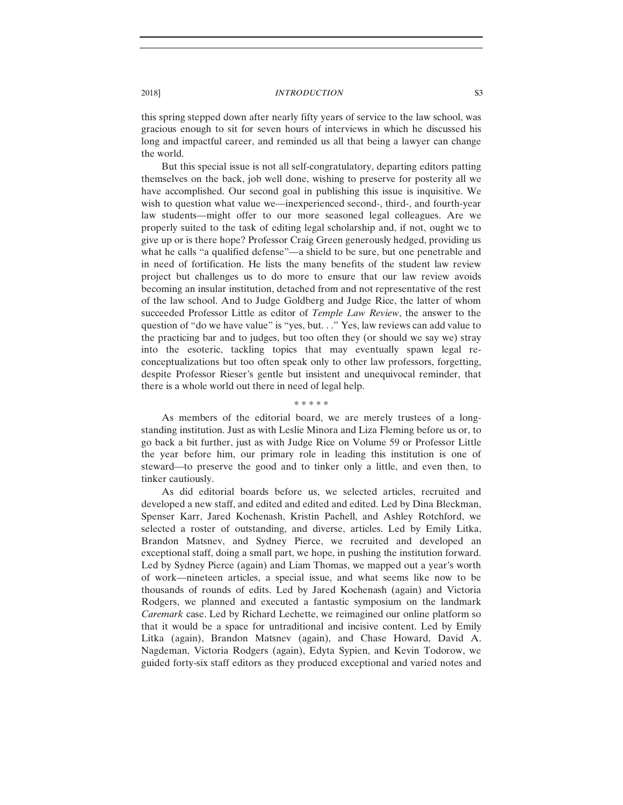## 2018] *INTRODUCTION* S3

this spring stepped down after nearly fifty years of service to the law school, was gracious enough to sit for seven hours of interviews in which he discussed his long and impactful career, and reminded us all that being a lawyer can change the world.

But this special issue is not all self-congratulatory, departing editors patting themselves on the back, job well done, wishing to preserve for posterity all we have accomplished. Our second goal in publishing this issue is inquisitive. We wish to question what value we—inexperienced second-, third-, and fourth-year law students—might offer to our more seasoned legal colleagues. Are we properly suited to the task of editing legal scholarship and, if not, ought we to give up or is there hope? Professor Craig Green generously hedged, providing us what he calls "a qualified defense"—a shield to be sure, but one penetrable and in need of fortification. He lists the many benefits of the student law review project but challenges us to do more to ensure that our law review avoids becoming an insular institution, detached from and not representative of the rest of the law school. And to Judge Goldberg and Judge Rice, the latter of whom succeeded Professor Little as editor of *Temple Law Review*, the answer to the question of "do we have value" is "yes, but. . ." Yes, law reviews can add value to the practicing bar and to judges, but too often they (or should we say we) stray into the esoteric, tackling topics that may eventually spawn legal reconceptualizations but too often speak only to other law professors, forgetting, despite Professor Rieser's gentle but insistent and unequivocal reminder, that there is a whole world out there in need of legal help.

\* \* \* \* \*

As members of the editorial board, we are merely trustees of a longstanding institution. Just as with Leslie Minora and Liza Fleming before us or, to go back a bit further, just as with Judge Rice on Volume 59 or Professor Little the year before him, our primary role in leading this institution is one of steward—to preserve the good and to tinker only a little, and even then, to tinker cautiously.

As did editorial boards before us, we selected articles, recruited and developed a new staff, and edited and edited and edited. Led by Dina Bleckman, Spenser Karr, Jared Kochenash, Kristin Pachell, and Ashley Rotchford, we selected a roster of outstanding, and diverse, articles. Led by Emily Litka, Brandon Matsnev, and Sydney Pierce, we recruited and developed an exceptional staff, doing a small part, we hope, in pushing the institution forward. Led by Sydney Pierce (again) and Liam Thomas, we mapped out a year's worth of work—nineteen articles, a special issue, and what seems like now to be thousands of rounds of edits. Led by Jared Kochenash (again) and Victoria Rodgers, we planned and executed a fantastic symposium on the landmark *Caremark* case. Led by Richard Lechette, we reimagined our online platform so that it would be a space for untraditional and incisive content. Led by Emily Litka (again), Brandon Matsnev (again), and Chase Howard, David A. Nagdeman, Victoria Rodgers (again), Edyta Sypien, and Kevin Todorow, we guided forty-six staff editors as they produced exceptional and varied notes and